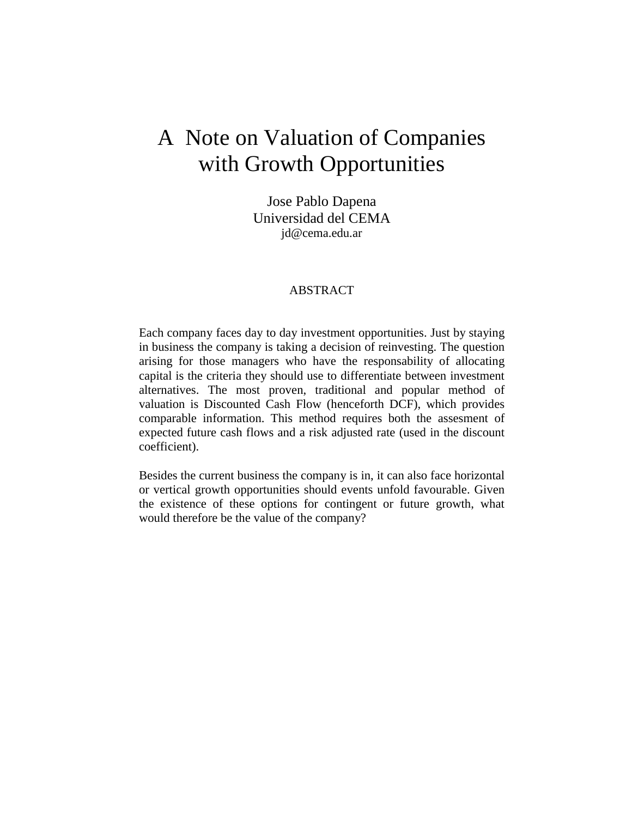# A Note on Valuation of Companies with Growth Opportunities

Jose Pablo Dapena Universidad del CEMA jd@cema.edu.ar

#### ABSTRACT

Each company faces day to day investment opportunities. Just by staying in business the company is taking a decision of reinvesting. The question arising for those managers who have the responsability of allocating capital is the criteria they should use to differentiate between investment alternatives. The most proven, traditional and popular method of valuation is Discounted Cash Flow (henceforth DCF), which provides comparable information. This method requires both the assesment of expected future cash flows and a risk adjusted rate (used in the discount coefficient).

Besides the current business the company is in, it can also face horizontal or vertical growth opportunities should events unfold favourable. Given the existence of these options for contingent or future growth, what would therefore be the value of the company?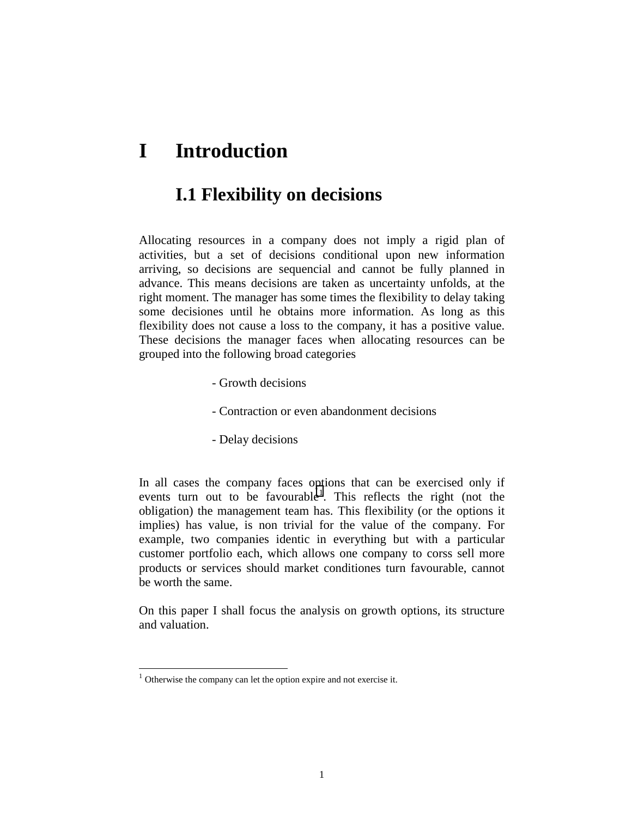# **I Introduction**

#### **I.1 Flexibility on decisions**

Allocating resources in a company does not imply a rigid plan of activities, but a set of decisions conditional upon new information arriving, so decisions are sequencial and cannot be fully planned in advance. This means decisions are taken as uncertainty unfolds, at the right moment. The manager has some times the flexibility to delay taking some decisiones until he obtains more information. As long as this flexibility does not cause a loss to the company, it has a positive value. These decisions the manager faces when allocating resources can be grouped into the following broad categories

- Growth decisions
- Contraction or even abandonment decisions
- Delay decisions

In all cases the company faces options that can be exercised only if events turn out to be favourable<sup>1</sup>. This reflects the right (not the obligation) the management team has. This flexibility (or the options it implies) has value, is non trivial for the value of the company. For example, two companies identic in everything but with a particular customer portfolio each, which allows one company to corss sell more products or services should market conditiones turn favourable, cannot be worth the same.

On this paper I shall focus the analysis on growth options, its structure and valuation.

 $\overline{a}$ 

 $1$  Otherwise the company can let the option expire and not exercise it.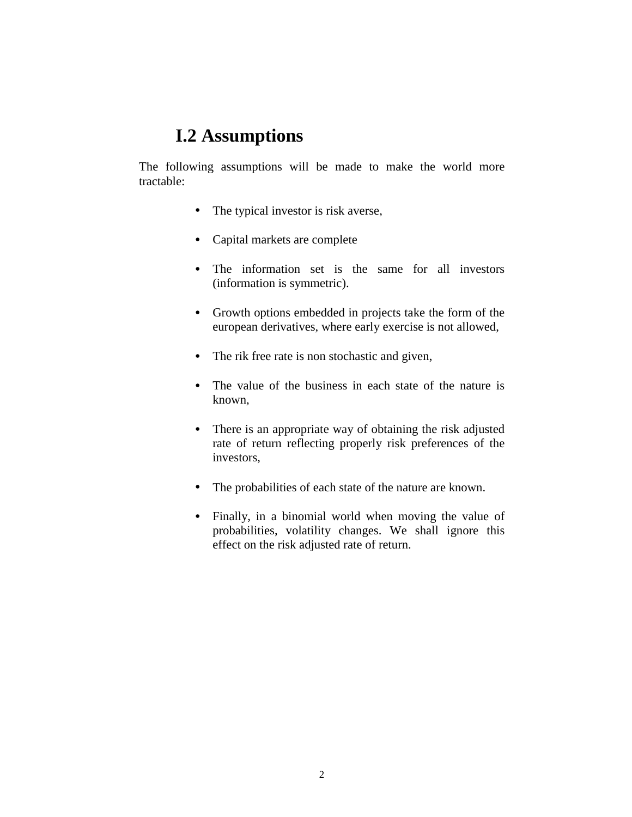## **I.2 Assumptions**

The following assumptions will be made to make the world more tractable:

- The typical investor is risk averse,
- Capital markets are complete
- The information set is the same for all investors (information is symmetric).
- Growth options embedded in projects take the form of the european derivatives, where early exercise is not allowed,
- The rik free rate is non stochastic and given,
- The value of the business in each state of the nature is known,
- There is an appropriate way of obtaining the risk adjusted rate of return reflecting properly risk preferences of the investors,
- The probabilities of each state of the nature are known.
- Finally, in a binomial world when moving the value of probabilities, volatility changes. We shall ignore this effect on the risk adjusted rate of return.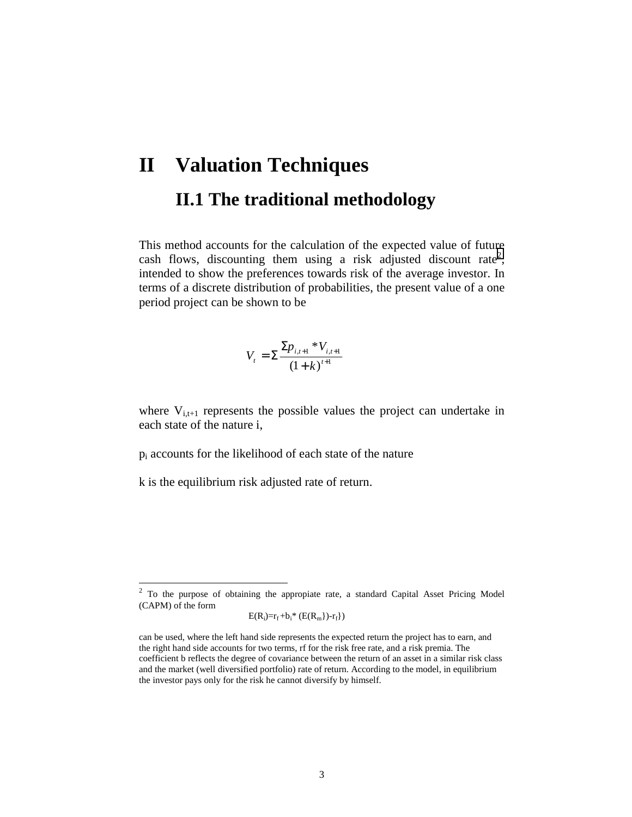# **II Valuation Techniques II.1 The traditional methodology**

This method accounts for the calculation of the expected value of future cash flows, discounting them using a risk adjusted discount rate<sup>2</sup>, intended to show the preferences towards risk of the average investor. In terms of a discrete distribution of probabilities, the present value of a one period project can be shown to be

$$
V_{t} = \sum \frac{\sum p_{i,t+1} * V_{i,t+1}}{(1+k)^{t+1}}
$$

where  $V_{i,t+1}$  represents the possible values the project can undertake in each state of the nature i,

pi accounts for the likelihood of each state of the nature

k is the equilibrium risk adjusted rate of return.

l

$$
E(R_i)=r_f+b_i* (E(R_m))-r_f\})
$$

 $2^2$  To the purpose of obtaining the appropiate rate, a standard Capital Asset Pricing Model (CAPM) of the form

can be used, where the left hand side represents the expected return the project has to earn, and the right hand side accounts for two terms, rf for the risk free rate, and a risk premia. The coefficient b reflects the degree of covariance between the return of an asset in a similar risk class and the market (well diversified portfolio) rate of return. According to the model, in equilibrium the investor pays only for the risk he cannot diversify by himself.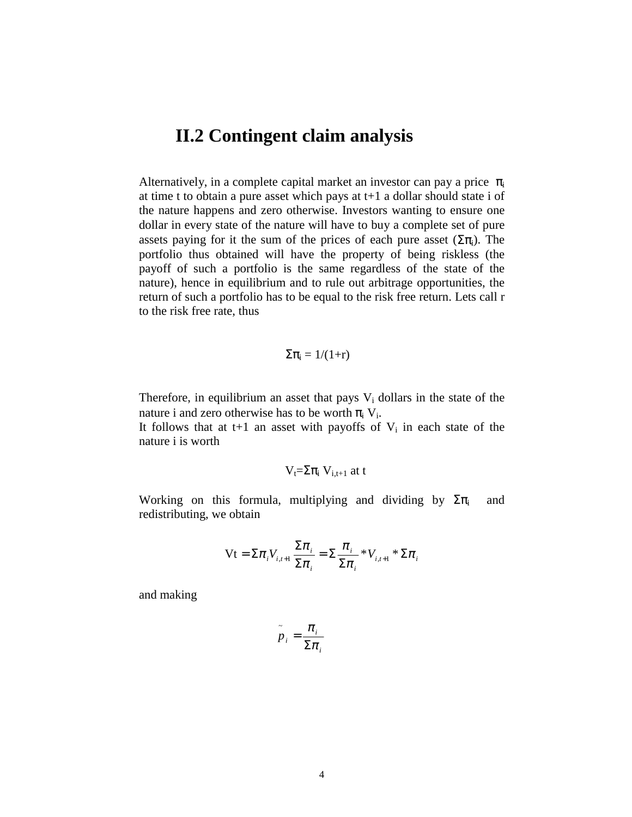#### **II.2 Contingent claim analysis**

Alternatively, in a complete capital market an investor can pay a price  $\pi_i$ at time t to obtain a pure asset which pays at t+1 a dollar should state i of the nature happens and zero otherwise. Investors wanting to ensure one dollar in every state of the nature will have to buy a complete set of pure assets paying for it the sum of the prices of each pure asset  $(\Sigma \pi_i)$ . The portfolio thus obtained will have the property of being riskless (the payoff of such a portfolio is the same regardless of the state of the nature), hence in equilibrium and to rule out arbitrage opportunities, the return of such a portfolio has to be equal to the risk free return. Lets call r to the risk free rate, thus

$$
\Sigma\pi_i=1/(1{+}r)
$$

Therefore, in equilibrium an asset that pays  $V_i$  dollars in the state of the nature i and zero otherwise has to be worth  $\pi_i V_i$ .

It follows that at t+1 an asset with payoffs of  $V_i$  in each state of the nature i is worth

$$
V_t\!\!=\!\!\Sigma\pi_i\;V_{i,t+1}\;at\;t
$$

Working on this formula, multiplying and dividing by  $\Sigma \pi_i$  and redistributing, we obtain

$$
\mathbf{Vt} = \Sigma \pi_i V_{i,i+1} \frac{\Sigma \pi_i}{\Sigma \pi_i} = \Sigma \frac{\pi_i}{\Sigma \pi_i} * V_{i,i+1} * \Sigma \pi_i
$$

and making

$$
\tilde{p}_i = \frac{\pi_i}{\Sigma \pi_i}
$$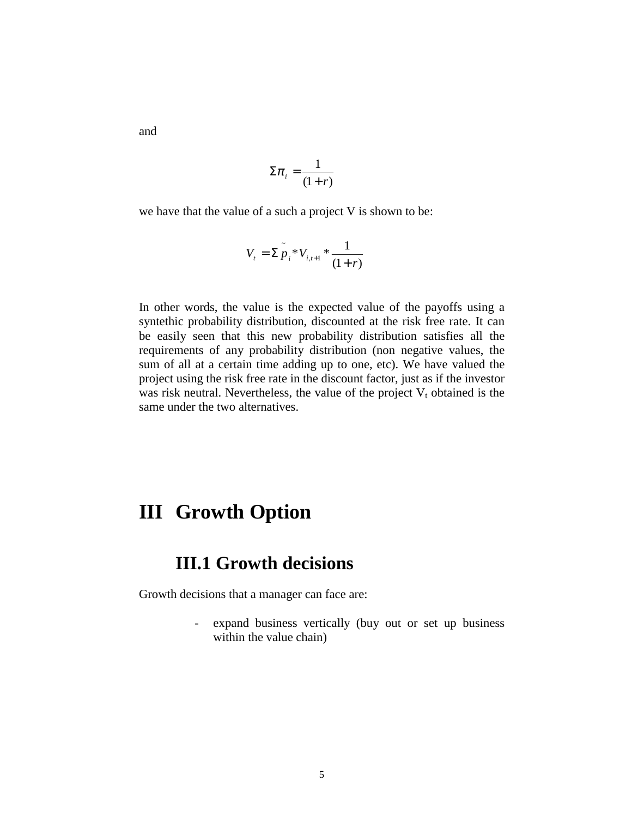and

$$
\Sigma \pi_i = \frac{1}{(1+r)}
$$

we have that the value of a such a project V is shown to be:

$$
V_{t} = \sum_{i=1}^{n} \sum_{i=1}^{n} V_{i,t+1} \cdot \frac{1}{(1+r)}
$$

In other words, the value is the expected value of the payoffs using a syntethic probability distribution, discounted at the risk free rate. It can be easily seen that this new probability distribution satisfies all the requirements of any probability distribution (non negative values, the sum of all at a certain time adding up to one, etc). We have valued the project using the risk free rate in the discount factor, just as if the investor was risk neutral. Nevertheless, the value of the project  $V_t$  obtained is the same under the two alternatives.

# **III Growth Option**

#### **III.1 Growth decisions**

Growth decisions that a manager can face are:

- expand business vertically (buy out or set up business within the value chain)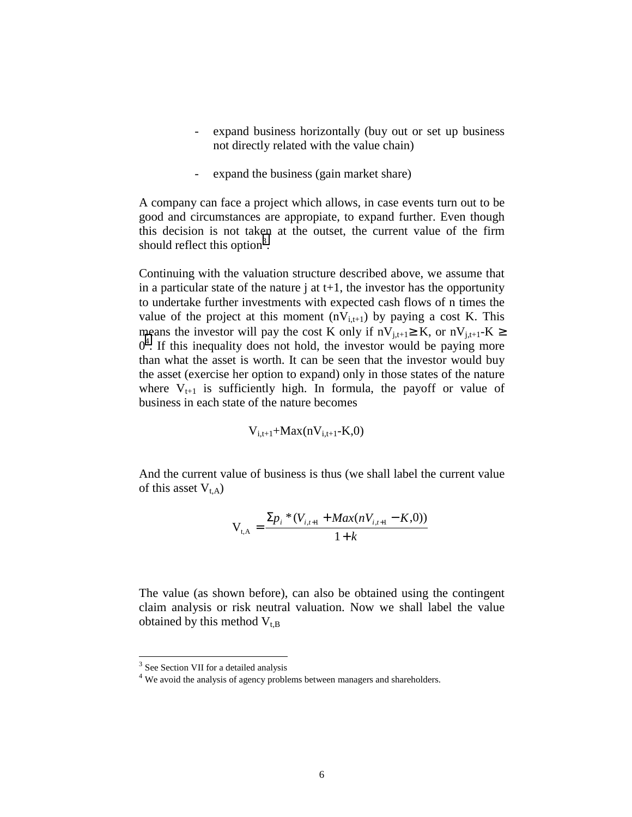- expand business horizontally (buy out or set up business not directly related with the value chain)
- expand the business (gain market share)

A company can face a project which allows, in case events turn out to be good and circumstances are appropiate, to expand further. Even though this decision is not taken at the outset, the current value of the firm should reflect this option<sup>3</sup>.

Continuing with the valuation structure described above, we assume that in a particular state of the nature  $\mathbf{j}$  at  $\mathbf{t}+1$ , the investor has the opportunity to undertake further investments with expected cash flows of n times the value of the project at this moment  $(nV_{i,t+1})$  by paying a cost K. This means the investor will pay the cost K only if  $nV_{i,t+1} \geq K$ , or  $nV_{i,t+1} - K \geq$  $0<sup>4</sup>$ . If this inequality does not hold, the investor would be paying more than what the asset is worth. It can be seen that the investor would buy the asset (exercise her option to expand) only in those states of the nature where  $V_{t+1}$  is sufficiently high. In formula, the payoff or value of business in each state of the nature becomes

$$
V_{i,t+1}\hspace{-1mm}+\hspace{-1mm} Max(nV_{i,t+1}\hspace{-1mm}-\hspace{-1mm}K,\hspace{-1mm}0)
$$

And the current value of business is thus (we shall label the current value of this asset  $V_{t,A}$ )

$$
V_{t,A} = \frac{\sum p_i * (V_{i,t+1} + \text{Max}(nV_{i,t+1} - K,0))}{1 + k}
$$

The value (as shown before), can also be obtained using the contingent claim analysis or risk neutral valuation. Now we shall label the value obtained by this method  $V_{t,B}$ 

l

<sup>&</sup>lt;sup>3</sup> See Section VII for a detailed analysis

<sup>&</sup>lt;sup>4</sup> We avoid the analysis of agency problems between managers and shareholders.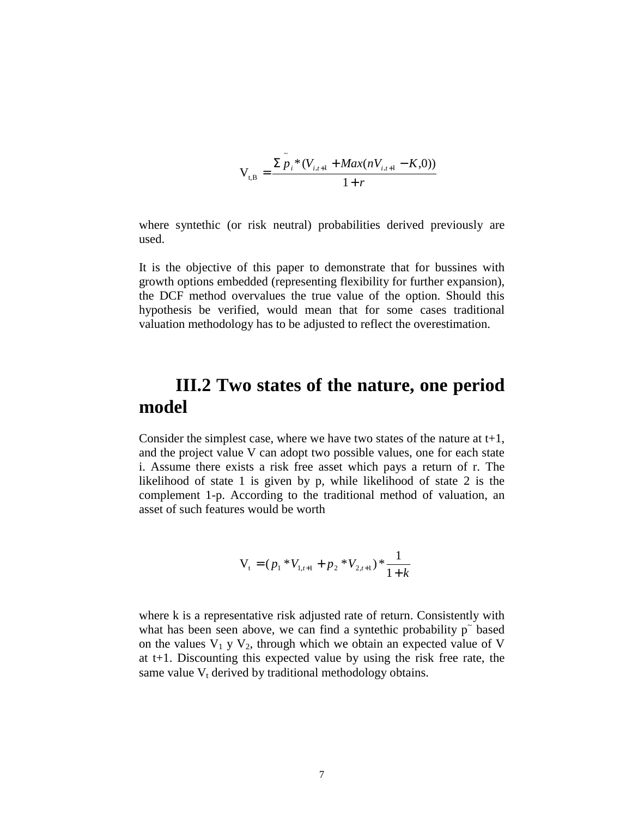$$
V_{t,B} = \frac{\sum_{i=1}^{t} \sum_{i=1}^{t} (V_{i,t+1} + \text{Max}(nV_{i,t+1} - K, 0))}{1 + r}
$$

where syntethic (or risk neutral) probabilities derived previously are used.

It is the objective of this paper to demonstrate that for bussines with growth options embedded (representing flexibility for further expansion), the DCF method overvalues the true value of the option. Should this hypothesis be verified, would mean that for some cases traditional valuation methodology has to be adjusted to reflect the overestimation.

#### **III.2 Two states of the nature, one period model**

Consider the simplest case, where we have two states of the nature at  $t+1$ , and the project value V can adopt two possible values, one for each state i. Assume there exists a risk free asset which pays a return of r. The likelihood of state 1 is given by p, while likelihood of state 2 is the complement 1-p. According to the traditional method of valuation, an asset of such features would be worth

$$
V_{t} = (p_1 * V_{1,t+1} + p_2 * V_{2,t+1}) * \frac{1}{1+k}
$$

where k is a representative risk adjusted rate of return. Consistently with what has been seen above, we can find a syntethic probability  $p^{\dagger}$  based on the values  $V_1$  y  $V_2$ , through which we obtain an expected value of V at t+1. Discounting this expected value by using the risk free rate, the same value  $V_t$  derived by traditional methodology obtains.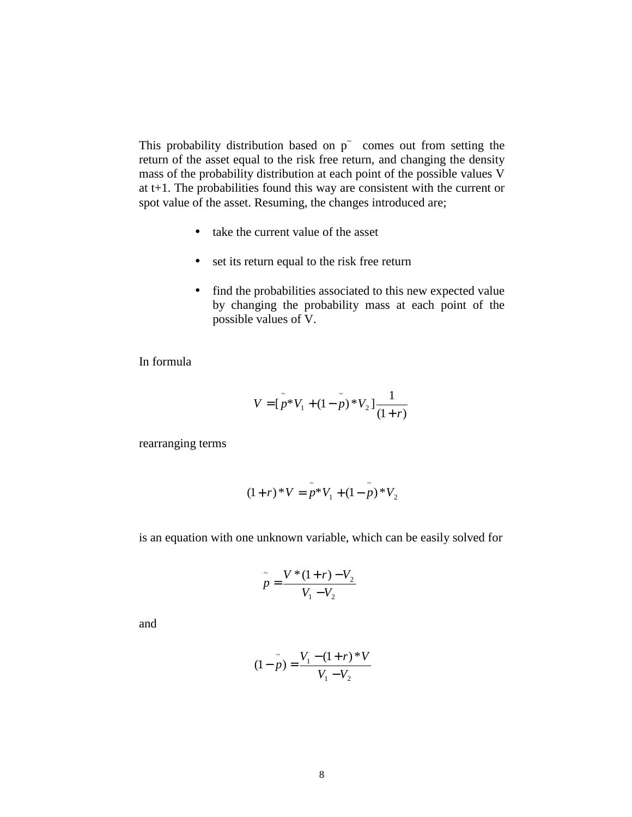This probability distribution based on  $p^{\dagger}$  comes out from setting the return of the asset equal to the risk free return, and changing the density mass of the probability distribution at each point of the possible values V at t+1. The probabilities found this way are consistent with the current or spot value of the asset. Resuming, the changes introduced are;

- take the current value of the asset
- set its return equal to the risk free return
- find the probabilities associated to this new expected value by changing the probability mass at each point of the possible values of V.

In formula

$$
V = \tilde{p}^*V_1 + (1 - \tilde{p})^*V_2 \frac{1}{(1+r)}
$$

rearranging terms

$$
(1+r)^*V = \tilde{p}^*V_1 + (1-\tilde{p})^*V_2
$$

is an equation with one unknown variable, which can be easily solved for

$$
\tilde{p} = \frac{V*(1+r) - V_2}{V_1 - V_2}
$$

and

$$
(1 - \tilde{p}) = \frac{V_1 - (1 + r) * V}{V_1 - V_2}
$$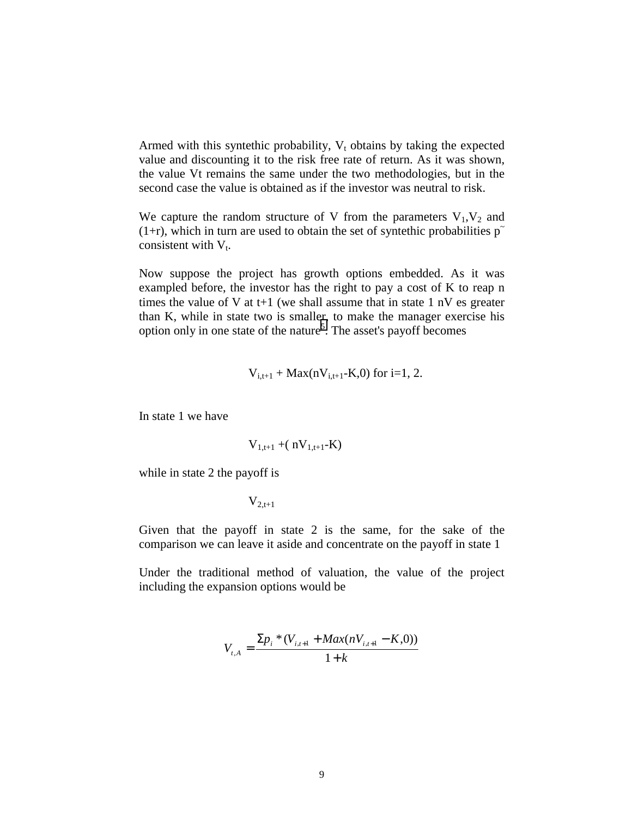Armed with this syntethic probability,  $V_t$  obtains by taking the expected value and discounting it to the risk free rate of return. As it was shown, the value Vt remains the same under the two methodologies, but in the second case the value is obtained as if the investor was neutral to risk.

We capture the random structure of V from the parameters  $V_1$ ,  $V_2$  and (1+r), which in turn are used to obtain the set of syntethic probabilities  $p<sup>2</sup>$ consistent with  $V_t$ .

Now suppose the project has growth options embedded. As it was exampled before, the investor has the right to pay a cost of K to reap n times the value of V at t+1 (we shall assume that in state 1 nV es greater than K, while in state two is smaller, to make the manager exercise his option only in one state of the nature<sup>5</sup>. The asset's payoff becomes

$$
V_{i,t+1}
$$
 + Max(n $V_{i,t+1}$ -K,0) for i=1, 2.

In state 1 we have

$$
V_{1,t+1}
$$
 + $(nV_{1,t+1}-K)$ 

while in state 2 the payoff is

 $V_{2,t+1}$ 

Given that the payoff in state 2 is the same, for the sake of the comparison we can leave it aside and concentrate on the payoff in state 1

Under the traditional method of valuation, the value of the project including the expansion options would be

$$
V_{i,A} = \frac{\sum p_i * (V_{i,i+1} + Max(nV_{i,i+1} - K,0))}{1+k}
$$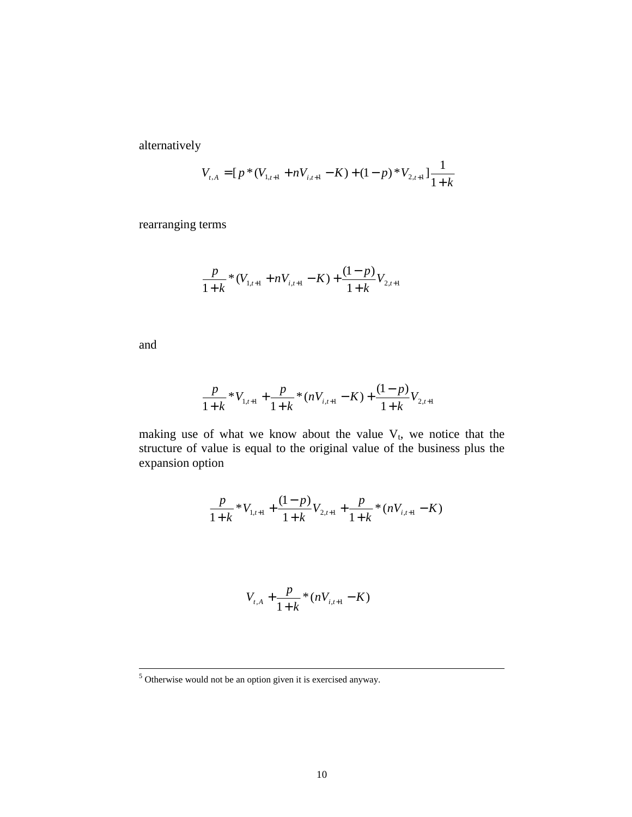alternatively

$$
V_{t,A} = [p * (V_{1,t+1} + nV_{i,t+1} - K) + (1-p) * V_{2,t+1}] \frac{1}{1+k}
$$

rearranging terms

$$
\frac{p}{1+k} * (V_{1,t+1} + nV_{i,t+1} - K) + \frac{(1-p)}{1+k} V_{2,t+1}
$$

and

$$
\frac{p}{1+k} * V_{1,t+1} + \frac{p}{1+k} * (nV_{i,t+1} - K) + \frac{(1-p)}{1+k} V_{2,t+1}
$$

making use of what we know about the value  $V_t$ , we notice that the structure of value is equal to the original value of the business plus the expansion option

$$
\frac{p}{1+k} * V_{1,t+1} + \frac{(1-p)}{1+k} V_{2,t+1} + \frac{p}{1+k} * (nV_{i,t+1} - K)
$$

$$
V_{t,A} + \frac{p}{1+k} * (nV_{i,t+1} - K)
$$

 <sup>5</sup>  $\frac{1}{5}$  Otherwise would not be an option given it is exercised anyway.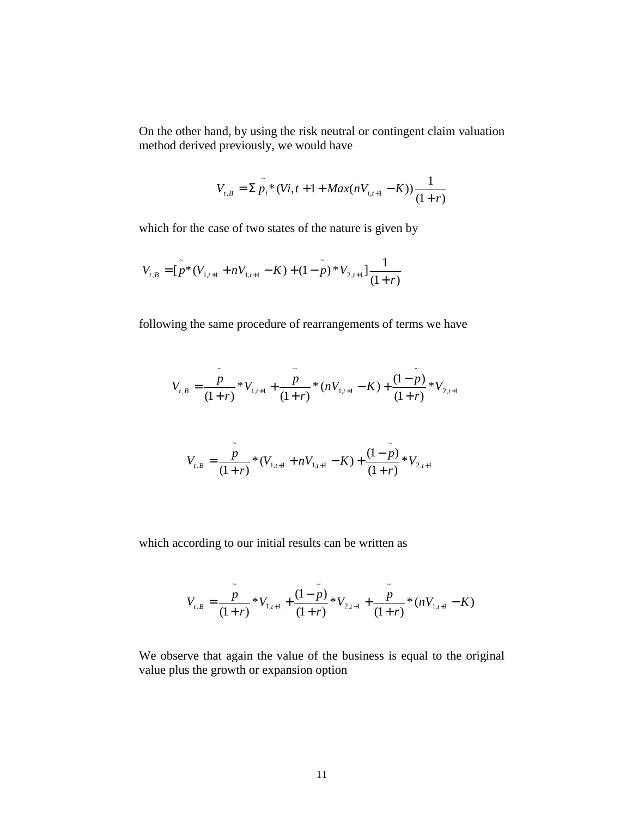On the other hand, by using the risk neutral or contingent claim valuation method derived previously, we would have

$$
V_{t,B} = \sum_{i=1}^{n} \sum_{i=1}^{n} (Vi_{t,t} + 1 + Max(nV_{i,t+1} - K)) \frac{1}{(1+r)}
$$

which for the case of two states of the nature is given by

$$
V_{t,B} = \left[ \tilde{p}^*(V_{1,t+1} + nV_{1,t+1} - K) + (1 - \tilde{p})^* V_{2,t+1} \right] \frac{1}{(1+r)}
$$

following the same procedure of rearrangements of terms we have

$$
V_{t,B} = \frac{\tilde{p}}{(1+r)} * V_{1,t+1} + \frac{\tilde{p}}{(1+r)} * (nV_{1,t+1} - K) + \frac{(1-\tilde{p})}{(1+r)} * V_{2,t+1}
$$

$$
V_{t,B} = \frac{\tilde{p}}{(1+r)} * (V_{1,t+1} + nV_{1,t+1} - K) + \frac{(1-\tilde{p})}{(1+r)} * V_{2,t+1}
$$

which according to our initial results can be written as

$$
V_{t,B} = \frac{\tilde{p}}{(1+r)} * V_{1,t+1} + \frac{(1-\tilde{p})}{(1+r)} * V_{2,t+1} + \frac{\tilde{p}}{(1+r)} * (nV_{1,t+1} - K)
$$

We observe that again the value of the business is equal to the original value plus the growth or expansion option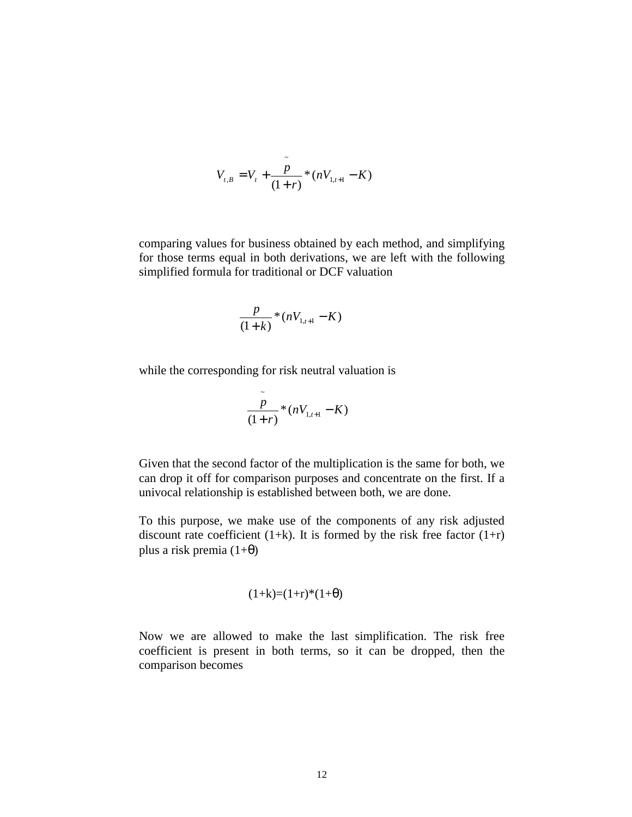$$
V_{t,B} = V_t + \frac{\tilde{p}}{(1+r)} * (nV_{1,t+1} - K)
$$

comparing values for business obtained by each method, and simplifying for those terms equal in both derivations, we are left with the following simplified formula for traditional or DCF valuation

$$
\frac{p}{(1+k)} * (nV_{1,t+1} - K)
$$

while the corresponding for risk neutral valuation is

$$
\frac{\overset{\sim}{p}}{(1+r)}*(nV_{1,t+1}-K)
$$

Given that the second factor of the multiplication is the same for both, we can drop it off for comparison purposes and concentrate on the first. If a univocal relationship is established between both, we are done.

To this purpose, we make use of the components of any risk adjusted discount rate coefficient (1+k). It is formed by the risk free factor  $(1+r)$ plus a risk premia  $(1+\theta)$ 

$$
(1+k)=(1+r)*(1+\theta)
$$

Now we are allowed to make the last simplification. The risk free coefficient is present in both terms, so it can be dropped, then the comparison becomes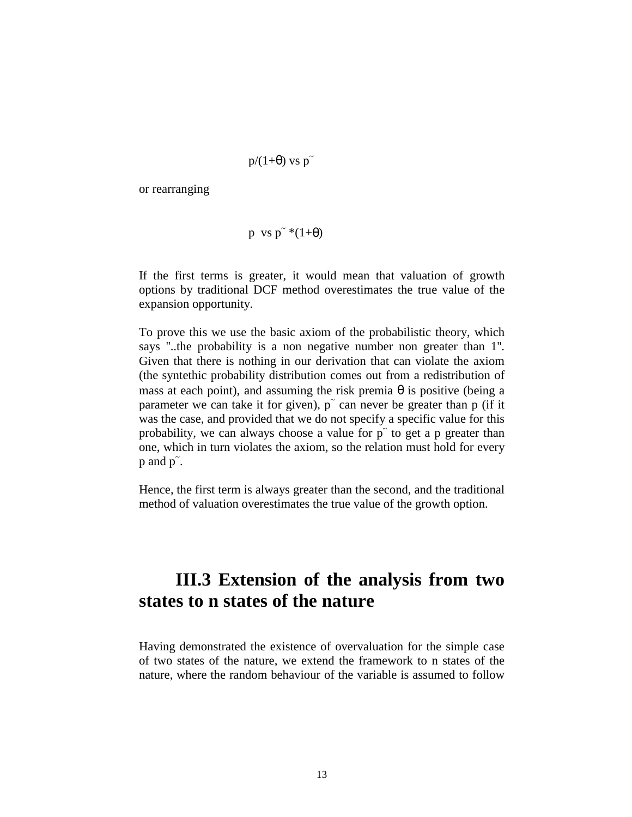$$
p/(1+\theta) \, vs \, p\tilde{\ }
$$

or rearranging

$$
p \ vs \ p^* * (1+\theta)
$$

If the first terms is greater, it would mean that valuation of growth options by traditional DCF method overestimates the true value of the expansion opportunity.

To prove this we use the basic axiom of the probabilistic theory, which says ''..the probability is a non negative number non greater than 1''. Given that there is nothing in our derivation that can violate the axiom (the syntethic probability distribution comes out from a redistribution of mass at each point), and assuming the risk premia  $\theta$  is positive (being a parameter we can take it for given), p<sup>o</sup> can never be greater than p (if it was the case, and provided that we do not specify a specific value for this probability, we can always choose a value for  $p^{\sim}$  to get a p greater than one, which in turn violates the axiom, so the relation must hold for every  $p$  and  $p^{\sim}$ .

Hence, the first term is always greater than the second, and the traditional method of valuation overestimates the true value of the growth option.

## **III.3 Extension of the analysis from two states to n states of the nature**

Having demonstrated the existence of overvaluation for the simple case of two states of the nature, we extend the framework to n states of the nature, where the random behaviour of the variable is assumed to follow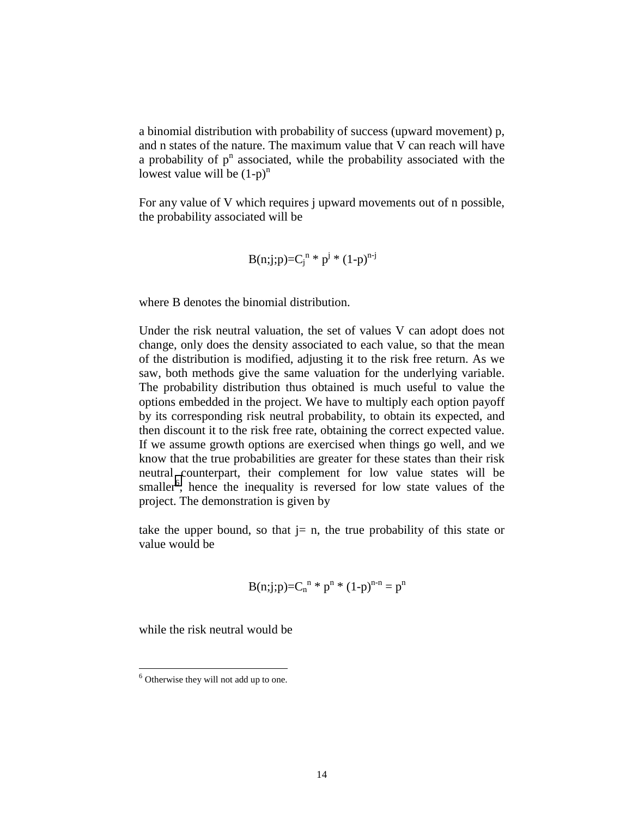a binomial distribution with probability of success (upward movement) p, and n states of the nature. The maximum value that V can reach will have a probability of  $p<sup>n</sup>$  associated, while the probability associated with the lowest value will be  $(1-p)^n$ 

For any value of V which requires j upward movements out of n possible, the probability associated will be

B(n;j;p)=Cj n \* pj \* (1-p)n-j

where B denotes the binomial distribution.

Under the risk neutral valuation, the set of values V can adopt does not change, only does the density associated to each value, so that the mean of the distribution is modified, adjusting it to the risk free return. As we saw, both methods give the same valuation for the underlying variable. The probability distribution thus obtained is much useful to value the options embedded in the project. We have to multiply each option payoff by its corresponding risk neutral probability, to obtain its expected, and then discount it to the risk free rate, obtaining the correct expected value. If we assume growth options are exercised when things go well, and we know that the true probabilities are greater for these states than their risk neutral counterpart, their complement for low value states will be smaller<sup>6</sup>, hence the inequality is reversed for low state values of the project. The demonstration is given by

take the upper bound, so that  $i = n$ , the true probability of this state or value would be

$$
B(n;j;p)=C_n^{n} * p^n * (1-p)^{n-n} = p^n
$$

while the risk neutral would be

 $\overline{a}$ 

 $6$  Otherwise they will not add up to one.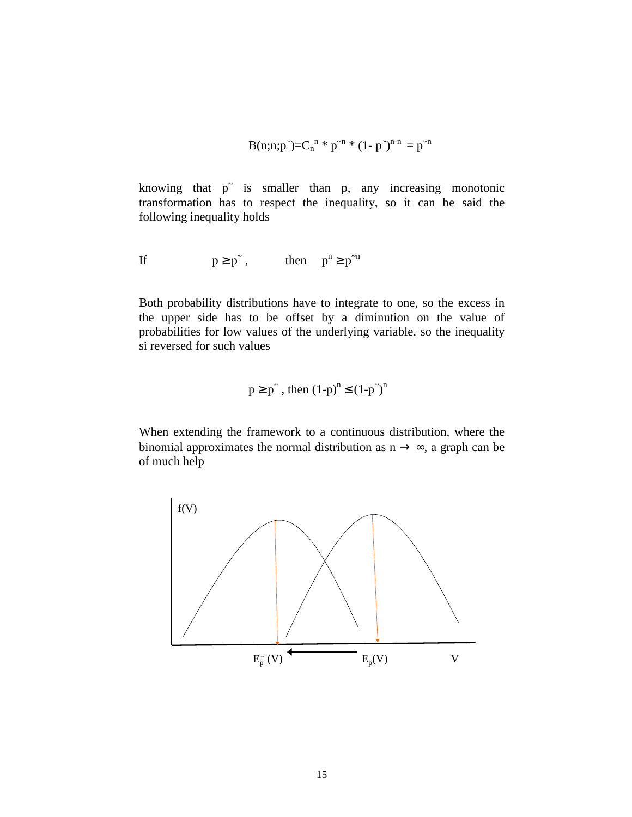$$
B(n;n;p^*)=C_n^{n} * p^{-n} * (1-p^*)^{n-n} = p^{-n}
$$

knowing that  $p^{\dagger}$  is smaller than p, any increasing monotonic transformation has to respect the inequality, so it can be said the following inequality holds

If 
$$
p \ge p^{\tilde{}}\,
$$
, then  $p^n \ge p^m$ 

Both probability distributions have to integrate to one, so the excess in the upper side has to be offset by a diminution on the value of probabilities for low values of the underlying variable, so the inequality si reversed for such values

$$
p \ge p^{\tilde{}} , \text{ then } (1-p)^n \le (1-p^{\tilde{}})^n
$$

When extending the framework to a continuous distribution, where the binomial approximates the normal distribution as  $n \rightarrow \infty$ , a graph can be of much help

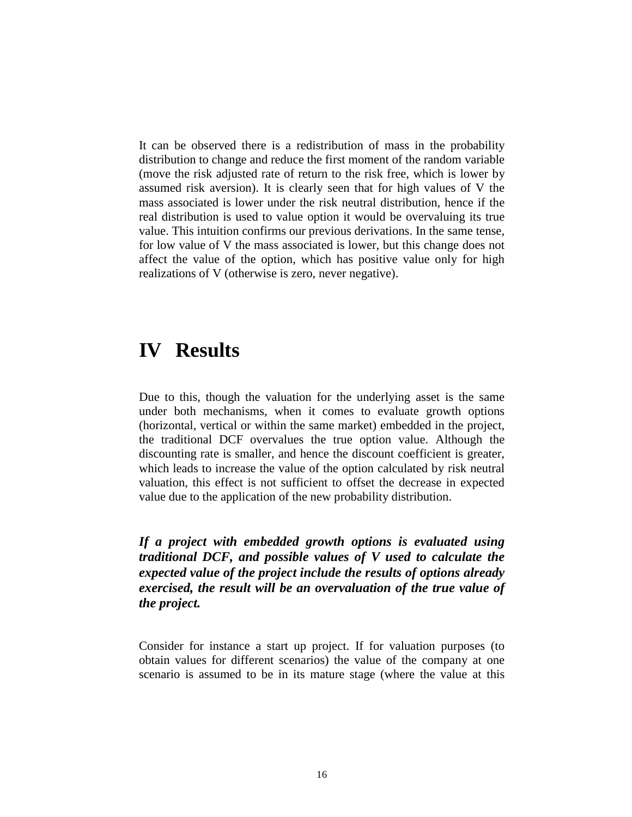It can be observed there is a redistribution of mass in the probability distribution to change and reduce the first moment of the random variable (move the risk adjusted rate of return to the risk free, which is lower by assumed risk aversion). It is clearly seen that for high values of V the mass associated is lower under the risk neutral distribution, hence if the real distribution is used to value option it would be overvaluing its true value. This intuition confirms our previous derivations. In the same tense, for low value of V the mass associated is lower, but this change does not affect the value of the option, which has positive value only for high realizations of V (otherwise is zero, never negative).

## **IV Results**

Due to this, though the valuation for the underlying asset is the same under both mechanisms, when it comes to evaluate growth options (horizontal, vertical or within the same market) embedded in the project, the traditional DCF overvalues the true option value. Although the discounting rate is smaller, and hence the discount coefficient is greater, which leads to increase the value of the option calculated by risk neutral valuation, this effect is not sufficient to offset the decrease in expected value due to the application of the new probability distribution.

*If a project with embedded growth options is evaluated using traditional DCF, and possible values of V used to calculate the expected value of the project include the results of options already exercised, the result will be an overvaluation of the true value of the project.*

Consider for instance a start up project. If for valuation purposes (to obtain values for different scenarios) the value of the company at one scenario is assumed to be in its mature stage (where the value at this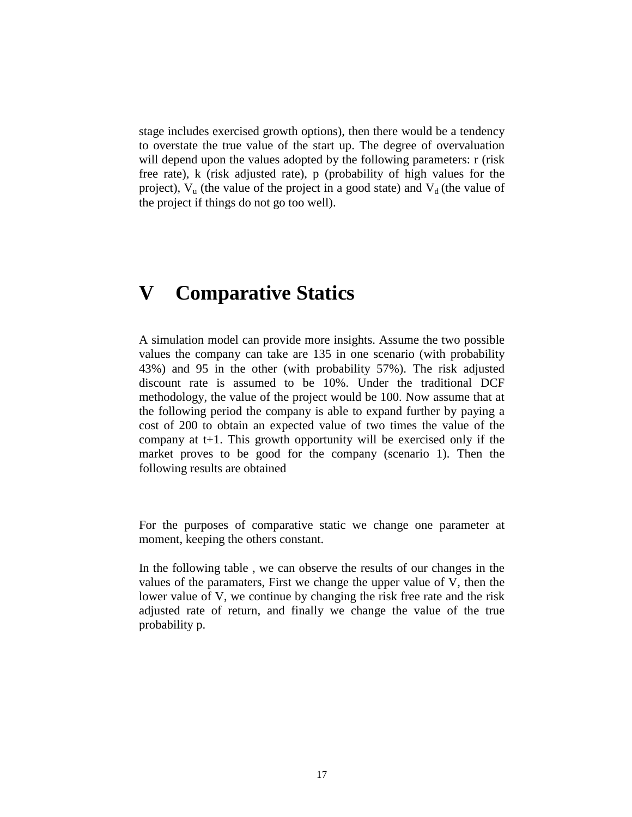stage includes exercised growth options), then there would be a tendency to overstate the true value of the start up. The degree of overvaluation will depend upon the values adopted by the following parameters: r (risk free rate), k (risk adjusted rate), p (probability of high values for the project),  $V_u$  (the value of the project in a good state) and  $V_d$  (the value of the project if things do not go too well).

# **V Comparative Statics**

A simulation model can provide more insights. Assume the two possible values the company can take are 135 in one scenario (with probability 43%) and 95 in the other (with probability 57%). The risk adjusted discount rate is assumed to be 10%. Under the traditional DCF methodology, the value of the project would be 100. Now assume that at the following period the company is able to expand further by paying a cost of 200 to obtain an expected value of two times the value of the company at t+1. This growth opportunity will be exercised only if the market proves to be good for the company (scenario 1). Then the following results are obtained

For the purposes of comparative static we change one parameter at moment, keeping the others constant.

In the following table , we can observe the results of our changes in the values of the paramaters, First we change the upper value of V, then the lower value of V, we continue by changing the risk free rate and the risk adjusted rate of return, and finally we change the value of the true probability p.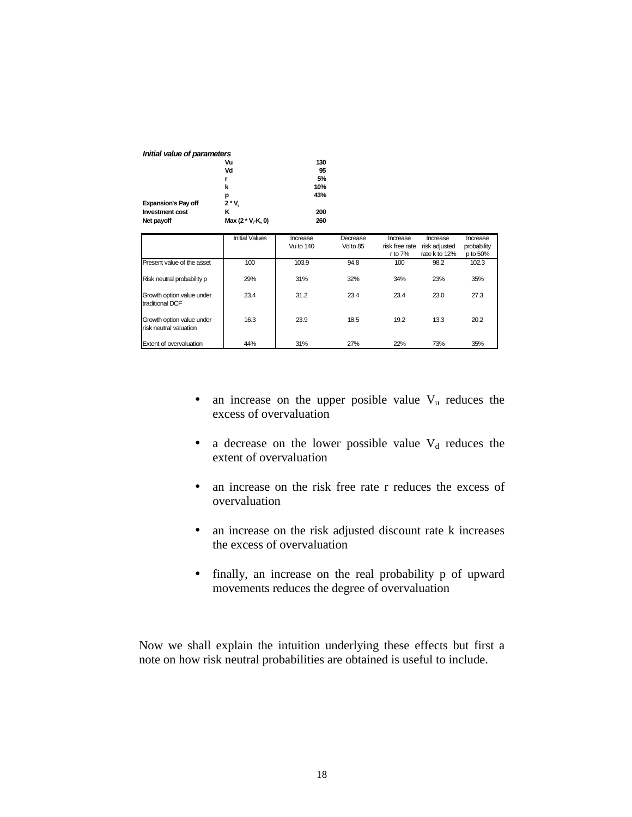| Initial value of parameters |                   |     |
|-----------------------------|-------------------|-----|
|                             | Vu                | 130 |
|                             | Vd                | 95  |
|                             | r                 | 5%  |
|                             | k                 | 10% |
|                             | р                 | 43% |
| <b>Expansion's Pay off</b>  | $2 * V_i$         |     |
| <b>Investment cost</b>      | κ                 | 200 |
| Net payoff                  | Max (2 * V, K, 0) | 260 |

|                                                     | <b>Initial Values</b> | Increase<br>Vu to 140 | Decrease<br>Vd to 85 | Increase<br>risk free rate | Increase<br>risk adjusted | Increase<br>probability |
|-----------------------------------------------------|-----------------------|-----------------------|----------------------|----------------------------|---------------------------|-------------------------|
|                                                     |                       |                       |                      | r to $7%$                  | rate k to 12%             | p to 50%                |
| Present value of the asset                          | 100                   | 103.9                 | 94.8                 | 100                        | 98.2                      | 102.3                   |
| Risk neutral probability p                          | 29%                   | 31%                   | 32%                  | 34%                        | 23%                       | 35%                     |
| Growth option value under<br>traditional DCF        | 23.4                  | 31.2                  | 23.4                 | 23.4                       | 23.0                      | 27.3                    |
| Growth option value under<br>risk neutral valuation | 16.3                  | 23.9                  | 18.5                 | 19.2                       | 13.3                      | 20.2                    |
| Extent of overvaluation                             | 44%                   | 31%                   | 27%                  | 22%                        | 73%                       | 35%                     |

- an increase on the upper posible value  $V<sub>u</sub>$  reduces the excess of overvaluation
- a decrease on the lower possible value  $V_d$  reduces the extent of overvaluation
- an increase on the risk free rate r reduces the excess of overvaluation
- an increase on the risk adjusted discount rate k increases the excess of overvaluation
- finally, an increase on the real probability p of upward movements reduces the degree of overvaluation

Now we shall explain the intuition underlying these effects but first a note on how risk neutral probabilities are obtained is useful to include.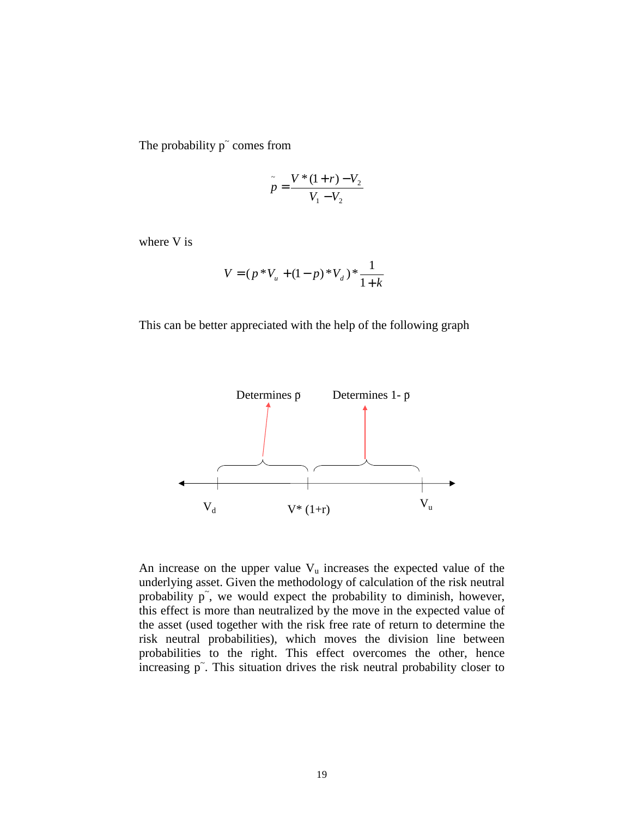The probability  $p<sup>o</sup>$  comes from

$$
\tilde{p} = \frac{V*(1+r) - V_2}{V_1 - V_2}
$$

where V is

$$
V = (p * V_u + (1-p) * V_d) * \frac{1}{1+k}
$$

This can be better appreciated with the help of the following graph



An increase on the upper value  $V<sub>u</sub>$  increases the expected value of the underlying asset. Given the methodology of calculation of the risk neutral probability p<sup>\*</sup>, we would expect the probability to diminish, however, this effect is more than neutralized by the move in the expected value of the asset (used together with the risk free rate of return to determine the risk neutral probabilities), which moves the division line between probabilities to the right. This effect overcomes the other, hence Increasing p<sup>~</sup>. This situation drives the risk neutral probability closer to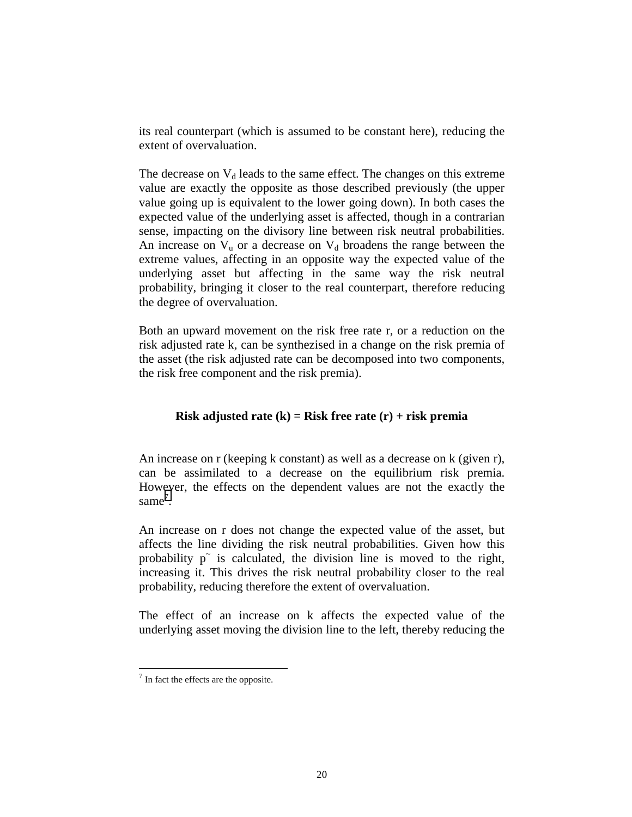its real counterpart (which is assumed to be constant here), reducing the extent of overvaluation.

The decrease on  $V_d$  leads to the same effect. The changes on this extreme value are exactly the opposite as those described previously (the upper value going up is equivalent to the lower going down). In both cases the expected value of the underlying asset is affected, though in a contrarian sense, impacting on the divisory line between risk neutral probabilities. An increase on  $V_u$  or a decrease on  $V_d$  broadens the range between the extreme values, affecting in an opposite way the expected value of the underlying asset but affecting in the same way the risk neutral probability, bringing it closer to the real counterpart, therefore reducing the degree of overvaluation.

Both an upward movement on the risk free rate r, or a reduction on the risk adjusted rate k, can be synthezised in a change on the risk premia of the asset (the risk adjusted rate can be decomposed into two components, the risk free component and the risk premia).

#### **Risk adjusted rate (k) = Risk free rate (r) + risk premia**

An increase on r (keeping k constant) as well as a decrease on k (given r), can be assimilated to a decrease on the equilibrium risk premia. However, the effects on the dependent values are not the exactly the  $same<sup>7</sup>$ .

An increase on r does not change the expected value of the asset, but affects the line dividing the risk neutral probabilities. Given how this probability p<sup>o</sup> is calculated, the division line is moved to the right, increasing it. This drives the risk neutral probability closer to the real probability, reducing therefore the extent of overvaluation.

The effect of an increase on k affects the expected value of the underlying asset moving the division line to the left, thereby reducing the

 $\overline{a}$ 

 $<sup>7</sup>$  In fact the effects are the opposite.</sup>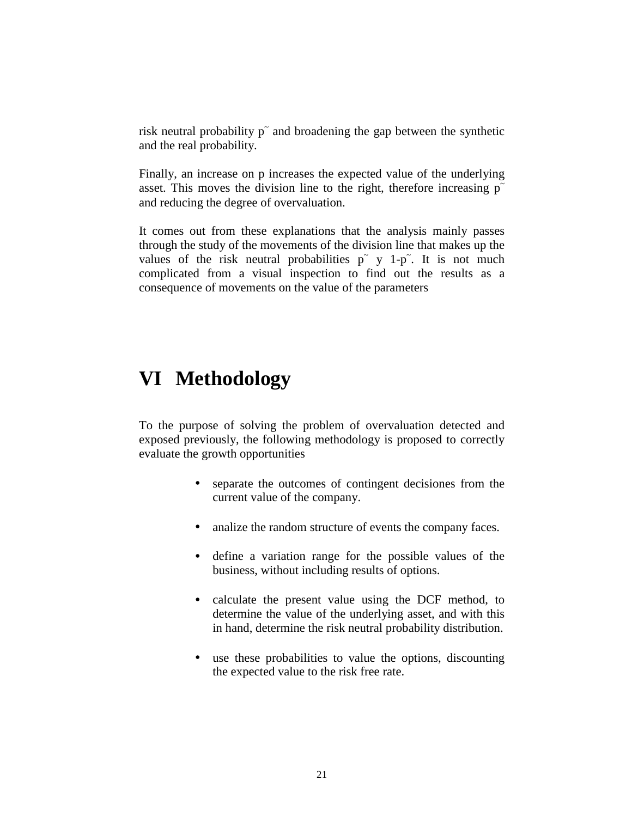risk neutral probability  $p<sup>+</sup>$  and broadening the gap between the synthetic and the real probability.

Finally, an increase on p increases the expected value of the underlying asset. This moves the division line to the right, therefore increasing  $p<sup>o</sup>$ and reducing the degree of overvaluation.

It comes out from these explanations that the analysis mainly passes through the study of the movements of the division line that makes up the values of the risk neutral probabilities  $p^{\sim}$  y 1-p<sup> $\sim$ </sup>. It is not much complicated from a visual inspection to find out the results as a consequence of movements on the value of the parameters

### **VI Methodology**

To the purpose of solving the problem of overvaluation detected and exposed previously, the following methodology is proposed to correctly evaluate the growth opportunities

- separate the outcomes of contingent decisiones from the current value of the company.
- analize the random structure of events the company faces.
- define a variation range for the possible values of the business, without including results of options.
- calculate the present value using the DCF method, to determine the value of the underlying asset, and with this in hand, determine the risk neutral probability distribution.
- use these probabilities to value the options, discounting the expected value to the risk free rate.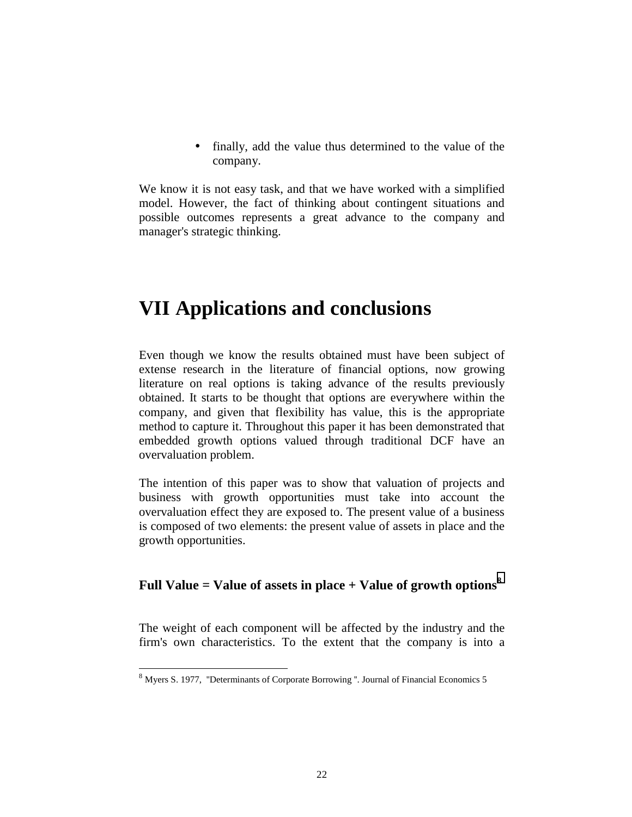• finally, add the value thus determined to the value of the company.

We know it is not easy task, and that we have worked with a simplified model. However, the fact of thinking about contingent situations and possible outcomes represents a great advance to the company and manager's strategic thinking.

# **VII Applications and conclusions**

Even though we know the results obtained must have been subject of extense research in the literature of financial options, now growing literature on real options is taking advance of the results previously obtained. It starts to be thought that options are everywhere within the company, and given that flexibility has value, this is the appropriate method to capture it. Throughout this paper it has been demonstrated that embedded growth options valued through traditional DCF have an overvaluation problem.

The intention of this paper was to show that valuation of projects and business with growth opportunities must take into account the overvaluation effect they are exposed to. The present value of a business is composed of two elements: the present value of assets in place and the growth opportunities.

#### **Full Value = Value of assets in place + Value of growth options<sup>8</sup>**

The weight of each component will be affected by the industry and the firm's own characteristics. To the extent that the company is into a

 $\overline{a}$ 

 $8$  Myers S. 1977, "Determinants of Corporate Borrowing ". Journal of Financial Economics 5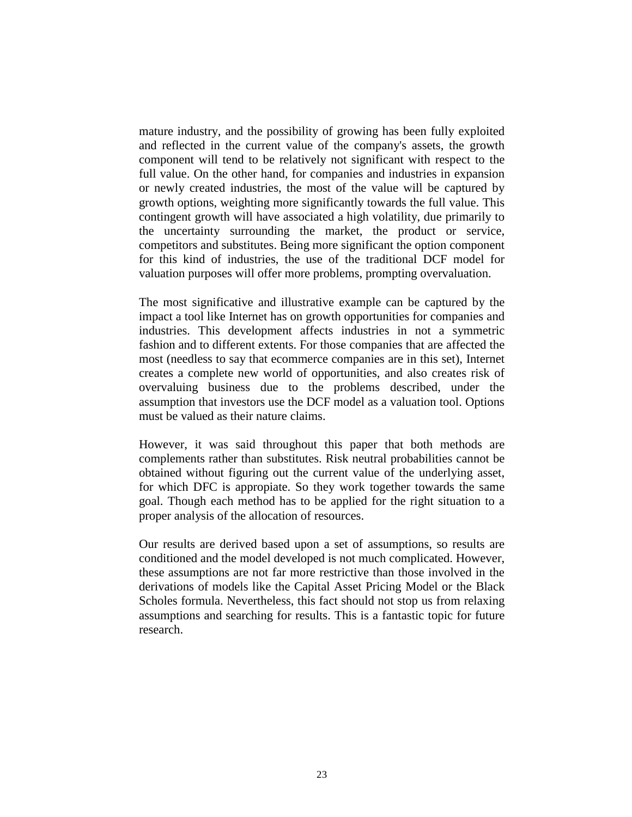mature industry, and the possibility of growing has been fully exploited and reflected in the current value of the company's assets, the growth component will tend to be relatively not significant with respect to the full value. On the other hand, for companies and industries in expansion or newly created industries, the most of the value will be captured by growth options, weighting more significantly towards the full value. This contingent growth will have associated a high volatility, due primarily to the uncertainty surrounding the market, the product or service, competitors and substitutes. Being more significant the option component for this kind of industries, the use of the traditional DCF model for valuation purposes will offer more problems, prompting overvaluation.

The most significative and illustrative example can be captured by the impact a tool like Internet has on growth opportunities for companies and industries. This development affects industries in not a symmetric fashion and to different extents. For those companies that are affected the most (needless to say that ecommerce companies are in this set), Internet creates a complete new world of opportunities, and also creates risk of overvaluing business due to the problems described, under the assumption that investors use the DCF model as a valuation tool. Options must be valued as their nature claims.

However, it was said throughout this paper that both methods are complements rather than substitutes. Risk neutral probabilities cannot be obtained without figuring out the current value of the underlying asset, for which DFC is appropiate. So they work together towards the same goal. Though each method has to be applied for the right situation to a proper analysis of the allocation of resources.

Our results are derived based upon a set of assumptions, so results are conditioned and the model developed is not much complicated. However, these assumptions are not far more restrictive than those involved in the derivations of models like the Capital Asset Pricing Model or the Black Scholes formula. Nevertheless, this fact should not stop us from relaxing assumptions and searching for results. This is a fantastic topic for future research.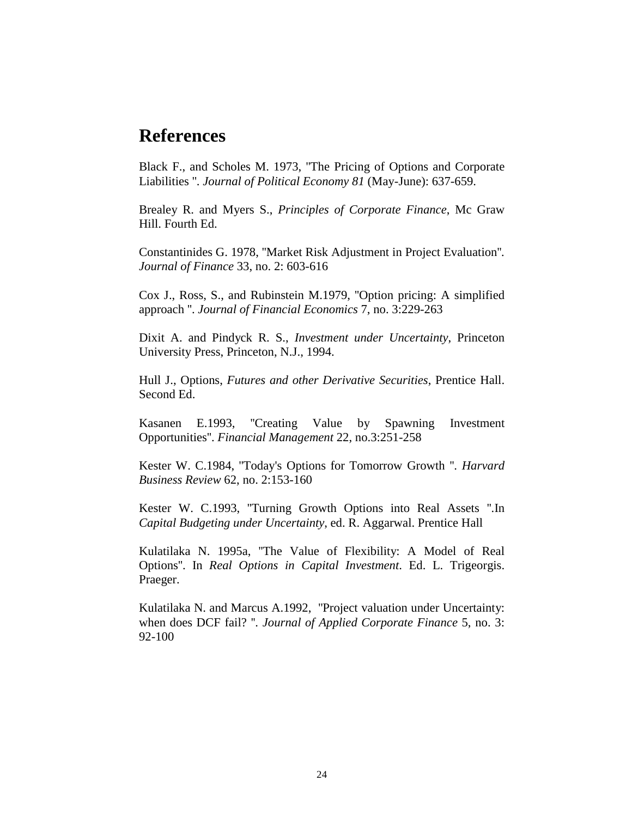#### **References**

Black F., and Scholes M. 1973, ''The Pricing of Options and Corporate Liabilities ''. *Journal of Political Economy 81* (May-June): 637-659.

Brealey R. and Myers S., *Principles of Corporate Finance*, Mc Graw Hill. Fourth Ed.

Constantinides G. 1978, ''Market Risk Adjustment in Project Evaluation''*. Journal of Finance* 33, no. 2: 603-616

Cox J., Ross, S., and Rubinstein M.1979, ''Option pricing: A simplified approach ''. *Journal of Financial Economics* 7, no. 3:229-263

Dixit A. and Pindyck R. S., *Investment under Uncertainty*, Princeton University Press, Princeton, N.J., 1994.

Hull J., Options, *Futures and other Derivative Securities*, Prentice Hall. Second Ed.

Kasanen E.1993, ''Creating Value by Spawning Investment Opportunities''. *Financial Management* 22, no.3:251-258

Kester W. C.1984, ''Today's Options for Tomorrow Growth ''. *Harvard Business Review* 62, no. 2:153-160

Kester W. C.1993, ''Turning Growth Options into Real Assets ''.In *Capital Budgeting under Uncertainty*, ed. R. Aggarwal. Prentice Hall

Kulatilaka N. 1995a, ''The Value of Flexibility: A Model of Real Options''. In *Real Options in Capital Investment*. Ed. L. Trigeorgis. Praeger.

Kulatilaka N. and Marcus A.1992, ''Project valuation under Uncertainty: when does DCF fail? ''. *Journal of Applied Corporate Finance* 5, no. 3: 92-100